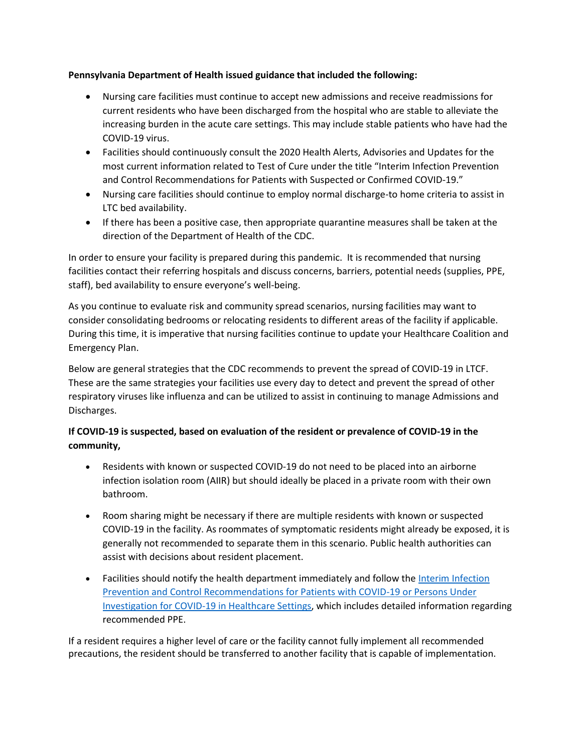### **Pennsylvania Department of Health issued guidance that included the following:**

- Nursing care facilities must continue to accept new admissions and receive readmissions for current residents who have been discharged from the hospital who are stable to alleviate the increasing burden in the acute care settings. This may include stable patients who have had the COVID-19 virus.
- Facilities should continuously consult the 2020 Health Alerts, Advisories and Updates for the most current information related to Test of Cure under the title "Interim Infection Prevention and Control Recommendations for Patients with Suspected or Confirmed COVID-19."
- Nursing care facilities should continue to employ normal discharge-to home criteria to assist in LTC bed availability.
- If there has been a positive case, then appropriate quarantine measures shall be taken at the direction of the Department of Health of the CDC.

In order to ensure your facility is prepared during this pandemic. It is recommended that nursing facilities contact their referring hospitals and discuss concerns, barriers, potential needs (supplies, PPE, staff), bed availability to ensure everyone's well-being.

As you continue to evaluate risk and community spread scenarios, nursing facilities may want to consider consolidating bedrooms or relocating residents to different areas of the facility if applicable. During this time, it is imperative that nursing facilities continue to update your Healthcare Coalition and Emergency Plan.

Below are general strategies that the CDC recommends to prevent the spread of COVID-19 in LTCF. These are the same strategies your facilities use every day to detect and prevent the spread of other respiratory viruses like influenza and can be utilized to assist in continuing to manage Admissions and Discharges.

## **If COVID-19 is suspected, based on evaluation of the resident or prevalence of COVID-19 in the community,**

- Residents with known or suspected COVID-19 do not need to be placed into an airborne infection isolation room (AIIR) but should ideally be placed in a private room with their own bathroom.
- Room sharing might be necessary if there are multiple residents with known or suspected COVID-19 in the facility. As roommates of symptomatic residents might already be exposed, it is generally not recommended to separate them in this scenario. Public health authorities can assist with decisions about resident placement.
- Facilities should notify the health department immediately and follow the [Interim Infection](https://www.cdc.gov/coronavirus/2019-ncov/infection-control/control-recommendations.html?CDC_AA_refVal=https%3A%2F%2Fwww.cdc.gov%2Fcoronavirus%2F2019-ncov%2Fhcp%2Finfection-control.html)  [Prevention and Control Recommendations for Patients with COVID-19 or Persons Under](https://www.cdc.gov/coronavirus/2019-ncov/infection-control/control-recommendations.html?CDC_AA_refVal=https%3A%2F%2Fwww.cdc.gov%2Fcoronavirus%2F2019-ncov%2Fhcp%2Finfection-control.html)  [Investigation for COVID-19 in Healthcare Settings,](https://www.cdc.gov/coronavirus/2019-ncov/infection-control/control-recommendations.html?CDC_AA_refVal=https%3A%2F%2Fwww.cdc.gov%2Fcoronavirus%2F2019-ncov%2Fhcp%2Finfection-control.html) which includes detailed information regarding recommended PPE.

If a resident requires a higher level of care or the facility cannot fully implement all recommended precautions, the resident should be transferred to another facility that is capable of implementation.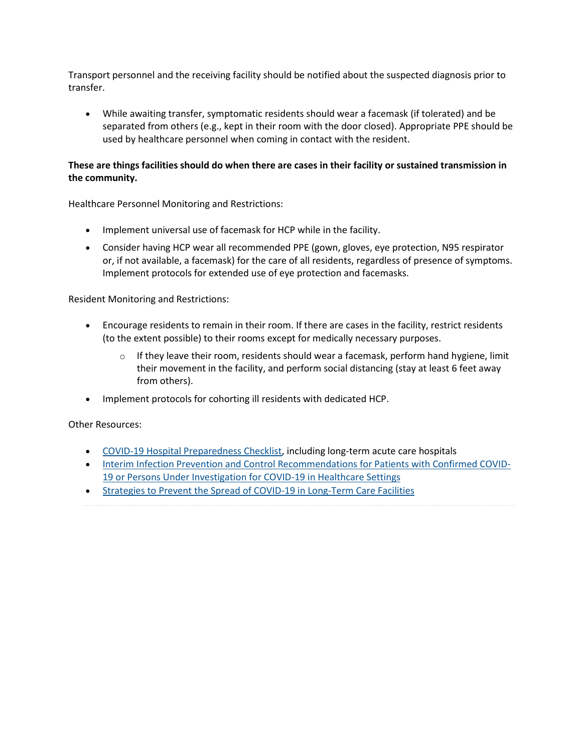Transport personnel and the receiving facility should be notified about the suspected diagnosis prior to transfer.

• While awaiting transfer, symptomatic residents should wear a facemask (if tolerated) and be separated from others (e.g., kept in their room with the door closed). Appropriate PPE should be used by healthcare personnel when coming in contact with the resident.

### **These are things facilities should do when there are cases in their facility or sustained transmission in the community.**

Healthcare Personnel Monitoring and Restrictions:

- Implement universal use of facemask for HCP while in the facility.
- Consider having HCP wear all recommended PPE (gown, gloves, eye protection, N95 respirator or, if not available, a facemask) for the care of all residents, regardless of presence of symptoms. Implement protocols for extended use of eye protection and facemasks.

Resident Monitoring and Restrictions:

- Encourage residents to remain in their room. If there are cases in the facility, restrict residents (to the extent possible) to their rooms except for medically necessary purposes.
	- $\circ$  If they leave their room, residents should wear a facemask, perform hand hygiene, limit their movement in the facility, and perform social distancing (stay at least 6 feet away from others).
- Implement protocols for cohorting ill residents with dedicated HCP.

Other Resources:

- [COVID-19 Hospital Preparedness Checklist,](https://www.cdc.gov/coronavirus/2019-ncov/hcp/index.html) including long-term acute care hospitals
- [Interim Infection Prevention and Control Recommendations for Patients with Confirmed COVID-](https://www.cdc.gov/coronavirus/2019-ncov/infection-control/control-recommendations.html)[19 or Persons Under Investigation for COVID-19 in Healthcare Settings](https://www.cdc.gov/coronavirus/2019-ncov/infection-control/control-recommendations.html)
- [Strategies to Prevent the Spread of COVID-19 in Long-Term Care Facilities](https://www.cdc.gov/coronavirus/2019-ncov/healthcare-facilities/prevent-spread-in-long-term-care-facilities.html)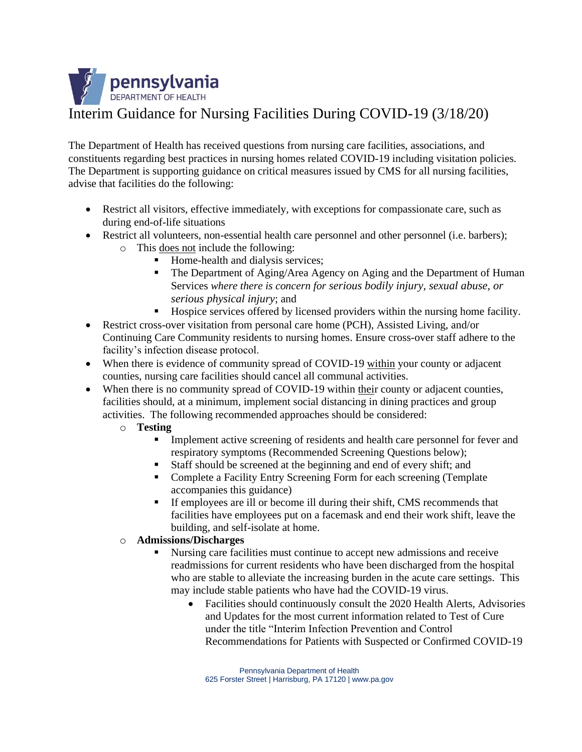

The Department of Health has received questions from nursing care facilities, associations, and constituents regarding best practices in nursing homes related COVID-19 including visitation policies. The Department is supporting guidance on critical measures issued by CMS for all nursing facilities, advise that facilities do the following:

- Restrict all visitors, effective immediately, with exceptions for compassionate care, such as during end-of-life situations
- Restrict all volunteers, non-essential health care personnel and other personnel (i.e. barbers); o This does not include the following:
	- Home-health and dialysis services;
	- **The Department of Aging/Area Agency on Aging and the Department of Human** Services *where there is concern for serious bodily injury, sexual abuse, or serious physical injury*; and
	- Hospice services offered by licensed providers within the nursing home facility.
- Restrict cross-over visitation from personal care home (PCH), Assisted Living, and/or Continuing Care Community residents to nursing homes. Ensure cross-over staff adhere to the facility's infection disease protocol.
- When there is evidence of community spread of COVID-19 within your county or adjacent counties, nursing care facilities should cancel all communal activities.
- When there is no community spread of COVID-19 within their county or adjacent counties, facilities should, at a minimum, implement social distancing in dining practices and group activities. The following recommended approaches should be considered:
	- o **Testing**
		- Implement active screening of residents and health care personnel for fever and respiratory symptoms (Recommended Screening Questions below);
		- Staff should be screened at the beginning and end of every shift; and
		- Complete a Facility Entry Screening Form for each screening (Template accompanies this guidance)
		- If employees are ill or become ill during their shift, CMS recommends that facilities have employees put on a facemask and end their work shift, leave the building, and self-isolate at home.

## o **Admissions/Discharges**

- Nursing care facilities must continue to accept new admissions and receive readmissions for current residents who have been discharged from the hospital who are stable to alleviate the increasing burden in the acute care settings. This may include stable patients who have had the COVID-19 virus.
	- Facilities should continuously consult the 2020 Health Alerts, Advisories and Updates for the most current information related to Test of Cure under the title "Interim Infection Prevention and Control Recommendations for Patients with Suspected or Confirmed COVID-19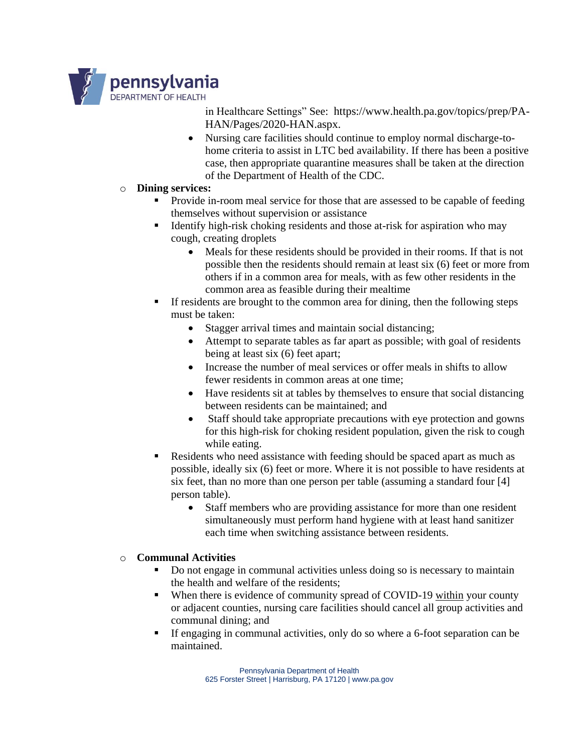

in Healthcare Settings" See: https://www.health.pa.gov/topics/prep/PA-HAN/Pages/2020-HAN.aspx.

- Nursing care facilities should continue to employ normal discharge-tohome criteria to assist in LTC bed availability. If there has been a positive case, then appropriate quarantine measures shall be taken at the direction of the Department of Health of the CDC.
- o **Dining services:**
	- Provide in-room meal service for those that are assessed to be capable of feeding themselves without supervision or assistance
	- Identify high-risk choking residents and those at-risk for aspiration who may cough, creating droplets
		- Meals for these residents should be provided in their rooms. If that is not possible then the residents should remain at least six (6) feet or more from others if in a common area for meals, with as few other residents in the common area as feasible during their mealtime
	- If residents are brought to the common area for dining, then the following steps must be taken:
		- Stagger arrival times and maintain social distancing;
		- Attempt to separate tables as far apart as possible; with goal of residents being at least six (6) feet apart;
		- Increase the number of meal services or offer meals in shifts to allow fewer residents in common areas at one time;
		- Have residents sit at tables by themselves to ensure that social distancing between residents can be maintained; and
		- Staff should take appropriate precautions with eye protection and gowns for this high-risk for choking resident population, given the risk to cough while eating.
	- Residents who need assistance with feeding should be spaced apart as much as possible, ideally six (6) feet or more. Where it is not possible to have residents at six feet, than no more than one person per table (assuming a standard four [4] person table).
		- Staff members who are providing assistance for more than one resident simultaneously must perform hand hygiene with at least hand sanitizer each time when switching assistance between residents.

## o **Communal Activities**

- Do not engage in communal activities unless doing so is necessary to maintain the health and welfare of the residents;
- When there is evidence of community spread of COVID-19 within your county or adjacent counties, nursing care facilities should cancel all group activities and communal dining; and
- If engaging in communal activities, only do so where a 6-foot separation can be maintained.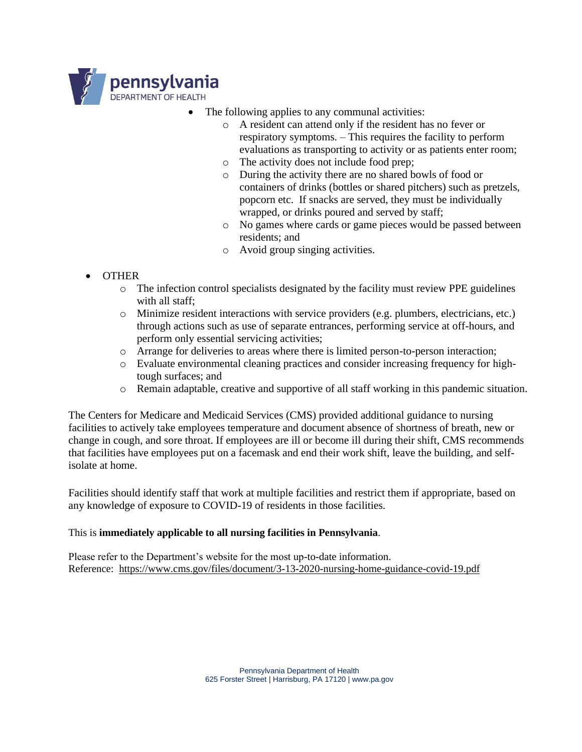

- The following applies to any communal activities:
	- o A resident can attend only if the resident has no fever or respiratory symptoms. – This requires the facility to perform evaluations as transporting to activity or as patients enter room;
	- o The activity does not include food prep;
	- o During the activity there are no shared bowls of food or containers of drinks (bottles or shared pitchers) such as pretzels, popcorn etc. If snacks are served, they must be individually wrapped, or drinks poured and served by staff;
	- o No games where cards or game pieces would be passed between residents; and
	- o Avoid group singing activities.

# • OTHER

- $\circ$  The infection control specialists designated by the facility must review PPE guidelines with all staff;
- o Minimize resident interactions with service providers (e.g. plumbers, electricians, etc.) through actions such as use of separate entrances, performing service at off-hours, and perform only essential servicing activities;
- o Arrange for deliveries to areas where there is limited person-to-person interaction;
- o Evaluate environmental cleaning practices and consider increasing frequency for hightough surfaces; and
- o Remain adaptable, creative and supportive of all staff working in this pandemic situation.

The Centers for Medicare and Medicaid Services (CMS) provided additional guidance to nursing facilities to actively take employees temperature and document absence of shortness of breath, new or change in cough, and sore throat. If employees are ill or become ill during their shift, CMS recommends that facilities have employees put on a facemask and end their work shift, leave the building, and selfisolate at home.

Facilities should identify staff that work at multiple facilities and restrict them if appropriate, based on any knowledge of exposure to COVID-19 of residents in those facilities.

## This is **immediately applicable to all nursing facilities in Pennsylvania**.

Please refer to the Department's website for the most up-to-date information. Reference: <https://www.cms.gov/files/document/3-13-2020-nursing-home-guidance-covid-19.pdf>